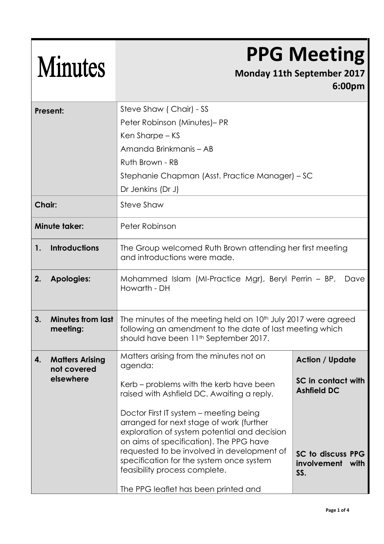## Minutes

## **PPG Meeting**

## **Monday 11th September 2017 6:00pm**

| Present:             |                                                    | Steve Shaw (Chair) - SS                                                                                                                                                                                                                                                                                                                          |                                                 |  |
|----------------------|----------------------------------------------------|--------------------------------------------------------------------------------------------------------------------------------------------------------------------------------------------------------------------------------------------------------------------------------------------------------------------------------------------------|-------------------------------------------------|--|
|                      |                                                    | Peter Robinson (Minutes)- PR                                                                                                                                                                                                                                                                                                                     |                                                 |  |
|                      |                                                    | Ken Sharpe – KS                                                                                                                                                                                                                                                                                                                                  |                                                 |  |
|                      |                                                    | Amanda Brinkmanis - AB                                                                                                                                                                                                                                                                                                                           |                                                 |  |
|                      |                                                    | Ruth Brown - RB                                                                                                                                                                                                                                                                                                                                  |                                                 |  |
|                      |                                                    | Stephanie Chapman (Asst. Practice Manager) – SC                                                                                                                                                                                                                                                                                                  |                                                 |  |
|                      |                                                    | Dr Jenkins (Dr J)                                                                                                                                                                                                                                                                                                                                |                                                 |  |
| <b>Chair:</b>        |                                                    | <b>Steve Shaw</b>                                                                                                                                                                                                                                                                                                                                |                                                 |  |
| <b>Minute taker:</b> |                                                    | Peter Robinson                                                                                                                                                                                                                                                                                                                                   |                                                 |  |
| 1.                   | <b>Introductions</b>                               | The Group welcomed Ruth Brown attending her first meeting<br>and introductions were made.                                                                                                                                                                                                                                                        |                                                 |  |
| 2.                   | <b>Apologies:</b>                                  | Mohammed Islam (MI-Practice Mgr), Beryl Perrin – BP,<br>Dave<br>Howarth - DH                                                                                                                                                                                                                                                                     |                                                 |  |
| 3.                   | <b>Minutes from last</b><br>meeting:               | The minutes of the meeting held on 10 <sup>th</sup> July 2017 were agreed<br>following an amendment to the date of last meeting which<br>should have been 11 <sup>th</sup> September 2017.                                                                                                                                                       |                                                 |  |
| 4.                   | <b>Matters Arising</b><br>not covered<br>elsewhere | Matters arising from the minutes not on<br>agenda:                                                                                                                                                                                                                                                                                               | <b>Action / Update</b>                          |  |
|                      |                                                    | Kerb – problems with the kerb have been<br>raised with Ashfield DC. Awaiting a reply.                                                                                                                                                                                                                                                            | SC in contact with<br><b>Ashfield DC</b>        |  |
|                      |                                                    | Doctor First IT system – meeting being<br>arranged for next stage of work (further<br>exploration of system potential and decision<br>on aims of specification). The PPG have<br>requested to be involved in development of<br>specification for the system once system<br>feasibility process complete.<br>The PPG leaflet has been printed and | SC to discuss PPG<br>involvement<br>with<br>SS. |  |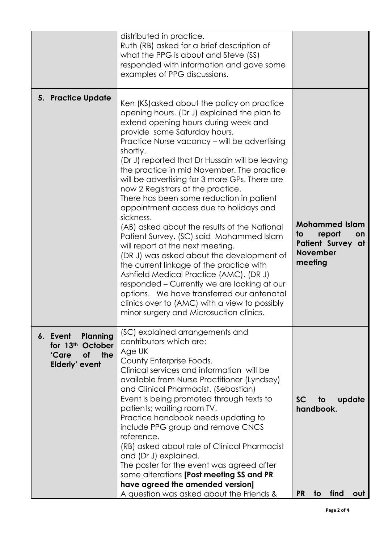|                                                                                                     | distributed in practice.                                                                                                                                                                                                                                                                                                                                                                                                                                                                                                                                                                                                                                                                                                                                                                                                                                                                                                                                                              |                                                                                                |
|-----------------------------------------------------------------------------------------------------|---------------------------------------------------------------------------------------------------------------------------------------------------------------------------------------------------------------------------------------------------------------------------------------------------------------------------------------------------------------------------------------------------------------------------------------------------------------------------------------------------------------------------------------------------------------------------------------------------------------------------------------------------------------------------------------------------------------------------------------------------------------------------------------------------------------------------------------------------------------------------------------------------------------------------------------------------------------------------------------|------------------------------------------------------------------------------------------------|
|                                                                                                     | Ruth (RB) asked for a brief description of<br>what the PPG is about and Steve (SS)<br>responded with information and gave some<br>examples of PPG discussions.                                                                                                                                                                                                                                                                                                                                                                                                                                                                                                                                                                                                                                                                                                                                                                                                                        |                                                                                                |
| <b>5. Practice Update</b>                                                                           | Ken (KS) asked about the policy on practice<br>opening hours. (Dr J) explained the plan to<br>extend opening hours during week and<br>provide some Saturday hours.<br>Practice Nurse vacancy - will be advertising<br>shortly.<br>(Dr J) reported that Dr Hussain will be leaving<br>the practice in mid November. The practice<br>will be advertising for 3 more GPs. There are<br>now 2 Registrars at the practice.<br>There has been some reduction in patient<br>appointment access due to holidays and<br>sickness.<br>(AB) asked about the results of the National<br>Patient Survey. (SC) said Mohammed Islam<br>will report at the next meeting.<br>(DR J) was asked about the development of<br>the current linkage of the practice with<br>Ashfield Medical Practice (AMC). (DR J)<br>responded - Currently we are looking at our<br>options. We have transferred our antenatal<br>clinics over to (AMC) with a view to possibly<br>minor surgery and Microsuction clinics. | <b>Mohammed Islam</b><br>report<br>to<br>on<br>Patient Survey at<br><b>November</b><br>meeting |
| Planning<br>6. Event<br>for 13 <sup>th</sup> October<br>'Care<br>the<br><b>of</b><br>Elderly' event | (SC) explained arrangements and<br>contributors which are:<br>Age UK<br>County Enterprise Foods.<br>Clinical services and information will be<br>available from Nurse Practitioner (Lyndsey)<br>and Clinical Pharmacist. (Sebastian)<br>Event is being promoted through texts to<br>patients; waiting room TV.<br>Practice handbook needs updating to<br>include PPG group and remove CNCS<br>reference.<br>(RB) asked about role of Clinical Pharmacist<br>and (Dr J) explained.<br>The poster for the event was agreed after<br>some alterations [Post meeting SS and PR<br>have agreed the amended version]<br>A question was asked about the Friends &                                                                                                                                                                                                                                                                                                                            | <b>SC</b><br>to<br>update<br>handbook.<br><b>PR</b><br>find<br>to<br>out                       |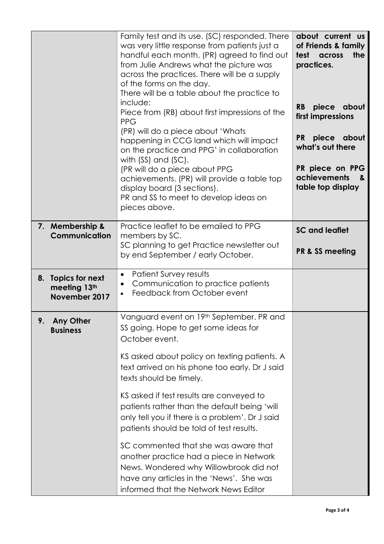|                                                     | Family test and its use. (SC) responded. There<br>was very little response from patients just a<br>handful each month. (PR) agreed to find out<br>from Julie Andrews what the picture was<br>across the practices. There will be a supply<br>of the forms on the day.<br>There will be a table about the practice to<br>include:<br>Piece from (RB) about first impressions of the<br><b>PPG</b><br>(PR) will do a piece about 'Whats<br>happening in CCG land which will impact<br>on the practice and PPG' in collaboration<br>with $(SS)$ and $(SC)$ .<br>(PR will do a piece about PPG<br>achievements. (PR) will provide a table top<br>display board (3 sections).<br>PR and SS to meet to develop ideas on<br>pieces above. | about current us<br>of Friends & family<br>test<br>the<br>across<br>practices.<br><b>RB</b><br>piece<br>about<br>first impressions<br><b>PR</b><br>piece about<br>what's out there<br>PR piece on PPG<br><b>achievements</b><br>୍ଥ<br>table top display |
|-----------------------------------------------------|------------------------------------------------------------------------------------------------------------------------------------------------------------------------------------------------------------------------------------------------------------------------------------------------------------------------------------------------------------------------------------------------------------------------------------------------------------------------------------------------------------------------------------------------------------------------------------------------------------------------------------------------------------------------------------------------------------------------------------|---------------------------------------------------------------------------------------------------------------------------------------------------------------------------------------------------------------------------------------------------------|
| 7. Membership &<br><b>Communication</b>             | Practice leaflet to be emailed to PPG<br>members by SC.<br>SC planning to get Practice newsletter out<br>by end September / early October.                                                                                                                                                                                                                                                                                                                                                                                                                                                                                                                                                                                         | <b>SC and leaflet</b><br><b>PR &amp; SS meeting</b>                                                                                                                                                                                                     |
| 8. Topics for next<br>meeting 13th<br>November 2017 | Patient Survey results<br>$\bullet$<br>Communication to practice patients<br>$\bullet$<br>Feedback from October event                                                                                                                                                                                                                                                                                                                                                                                                                                                                                                                                                                                                              |                                                                                                                                                                                                                                                         |
| 9.<br><b>Any Other</b><br><b>Business</b>           | Vanguard event on 19th September. PR and<br>SS going. Hope to get some ideas for<br>October event.<br>KS asked about policy on texting patients. A<br>text arrived on his phone too early. Dr J said<br>texts should be timely.<br>KS asked if test results are conveyed to<br>patients rather than the default being 'will<br>only tell you if there is a problem'. Dr J said<br>patients should be told of test results.<br>SC commented that she was aware that<br>another practice had a piece in Network<br>News. Wondered why Willowbrook did not<br>have any articles in the 'News'. She was<br>informed that the Network News Editor                                                                                       |                                                                                                                                                                                                                                                         |